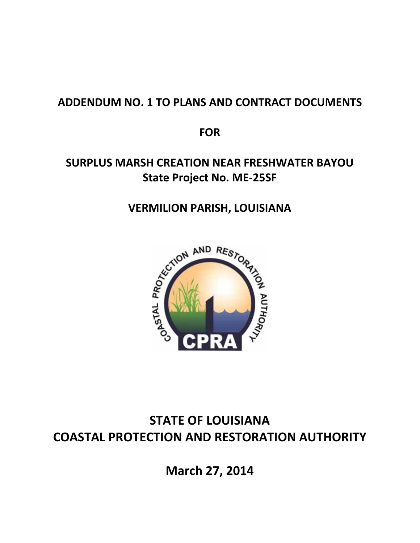## **ADDENDUM NO. 1 TO PLANS AND CONTRACT DOCUMENTS**

**FOR**

## **SURPLUS MARSH CREATION NEAR FRESHWATER BAYOU State Project No. ME‐25SF**



# **STATE OF LOUISIANA COASTAL PROTECTION AND RESTORATION AUTHORITY**

**March 27, 2014**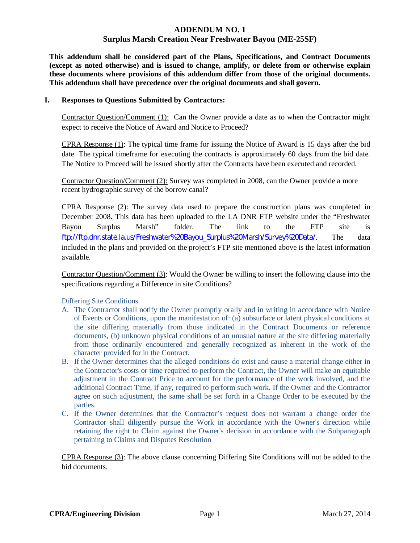#### **ADDENDUM NO. 1**

#### **Surplus Marsh Creation Near Freshwater Bayou (ME-25SF)**

**This addendum shall be considered part of the Plans, Specifications, and Contract Documents (except as noted otherwise) and is issued to change, amplify, or delete from or otherwise explain these documents where provisions of this addendum differ from those of the original documents. This addendum shall have precedence over the original documents and shall govern.** 

#### **I. Responses to Questions Submitted by Contractors:**

Contractor Question/Comment (1): Can the Owner provide a date as to when the Contractor might expect to receive the Notice of Award and Notice to Proceed?

CPRA Response (1): The typical time frame for issuing the Notice of Award is 15 days after the bid date. The typical timeframe for executing the contracts is approximately 60 days from the bid date. The Notice to Proceed will be issued shortly after the Contracts have been executed and recorded.

Contractor Question/Comment (2): Survey was completed in 2008, can the Owner provide a more recent hydrographic survey of the borrow canal?

CPRA Response (2): The survey data used to prepare the construction plans was completed in December 2008. This data has been uploaded to the LA DNR FTP website under the "Freshwater Bayou Surplus Marsh" folder. The link to the FTP site is ftp://ftp.dnr.state.la.us/Freshwater%20Bayou\_Surplus%20Marsh/Survey%20Data/. The data included in the plans and provided on the project's FTP site mentioned above is the latest information available.

Contractor Question/Comment (3): Would the Owner be willing to insert the following clause into the specifications regarding a Difference in site Conditions?

Differing Site Conditions

- A. The Contractor shall notify the Owner promptly orally and in writing in accordance with Notice of Events or Conditions, upon the manifestation of: (a) subsurface or latent physical conditions at the site differing materially from those indicated in the Contract Documents or reference documents, (b) unknown physical conditions of an unusual nature at the site differing materially from those ordinarily encountered and generally recognized as inherent in the work of the character provided for in the Contract.
- B. If the Owner determines that the alleged conditions do exist and cause a material change either in the Contractor's costs or time required to perform the Contract, the Owner will make an equitable adjustment in the Contract Price to account for the performance of the work involved, and the additional Contract Time, if any, required to perform such work. If the Owner and the Contractor agree on such adjustment, the same shall be set forth in a Change Order to be executed by the parties.
- C. If the Owner determines that the Contractor's request does not warrant a change order the Contractor shall diligently pursue the Work in accordance with the Owner's direction while retaining the right to Claim against the Owner's decision in accordance with the Subparagraph pertaining to Claims and Disputes Resolution

CPRA Response (3): The above clause concerning Differing Site Conditions will not be added to the bid documents.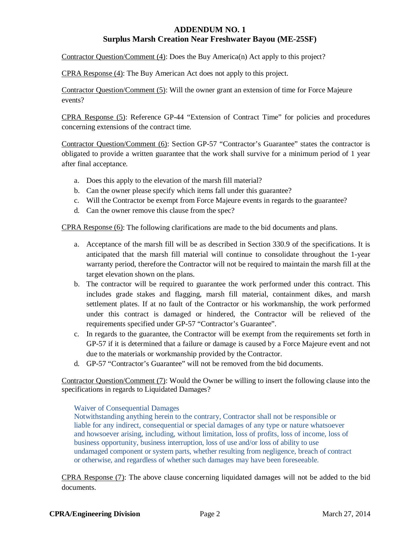Contractor Question/Comment (4): Does the Buy America(n) Act apply to this project?

CPRA Response (4): The Buy American Act does not apply to this project.

Contractor Question/Comment (5): Will the owner grant an extension of time for Force Majeure events?

CPRA Response (5): Reference GP-44 "Extension of Contract Time" for policies and procedures concerning extensions of the contract time.

Contractor Question/Comment (6): Section GP-57 "Contractor's Guarantee" states the contractor is obligated to provide a written guarantee that the work shall survive for a minimum period of 1 year after final acceptance.

- a. Does this apply to the elevation of the marsh fill material?
- b. Can the owner please specify which items fall under this guarantee?
- c. Will the Contractor be exempt from Force Majeure events in regards to the guarantee?
- d. Can the owner remove this clause from the spec?

CPRA Response (6): The following clarifications are made to the bid documents and plans.

- a. Acceptance of the marsh fill will be as described in Section 330.9 of the specifications. It is anticipated that the marsh fill material will continue to consolidate throughout the 1-year warranty period, therefore the Contractor will not be required to maintain the marsh fill at the target elevation shown on the plans.
- b. The contractor will be required to guarantee the work performed under this contract. This includes grade stakes and flagging, marsh fill material, containment dikes, and marsh settlement plates. If at no fault of the Contractor or his workmanship, the work performed under this contract is damaged or hindered, the Contractor will be relieved of the requirements specified under GP-57 "Contractor's Guarantee".
- c. In regards to the guarantee, the Contractor will be exempt from the requirements set forth in GP-57 if it is determined that a failure or damage is caused by a Force Majeure event and not due to the materials or workmanship provided by the Contractor.
- d. GP-57 "Contractor's Guarantee" will not be removed from the bid documents.

Contractor Question/Comment (7): Would the Owner be willing to insert the following clause into the specifications in regards to Liquidated Damages?

#### Waiver of Consequential Damages

Notwithstanding anything herein to the contrary, Contractor shall not be responsible or liable for any indirect, consequential or special damages of any type or nature whatsoever and howsoever arising, including, without limitation, loss of profits, loss of income, loss of business opportunity, business interruption, loss of use and/or loss of ability to use undamaged component or system parts, whether resulting from negligence, breach of contract or otherwise, and regardless of whether such damages may have been foreseeable.

CPRA Response (7): The above clause concerning liquidated damages will not be added to the bid documents.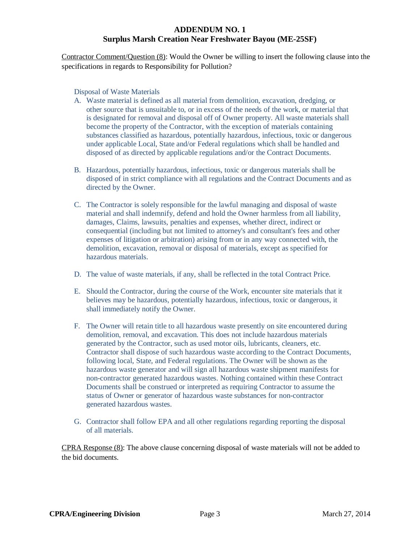Contractor Comment/Question (8): Would the Owner be willing to insert the following clause into the specifications in regards to Responsibility for Pollution?

Disposal of Waste Materials

- A. Waste material is defined as all material from demolition, excavation, dredging, or other source that is unsuitable to, or in excess of the needs of the work, or material that is designated for removal and disposal off of Owner property. All waste materials shall become the property of the Contractor, with the exception of materials containing substances classified as hazardous, potentially hazardous, infectious, toxic or dangerous under applicable Local, State and/or Federal regulations which shall be handled and disposed of as directed by applicable regulations and/or the Contract Documents.
- B. Hazardous, potentially hazardous, infectious, toxic or dangerous materials shall be disposed of in strict compliance with all regulations and the Contract Documents and as directed by the Owner.
- C. The Contractor is solely responsible for the lawful managing and disposal of waste material and shall indemnify, defend and hold the Owner harmless from all liability, damages, Claims, lawsuits, penalties and expenses, whether direct, indirect or consequential (including but not limited to attorney's and consultant's fees and other expenses of litigation or arbitration) arising from or in any way connected with, the demolition, excavation, removal or disposal of materials, except as specified for hazardous materials.
- D. The value of waste materials, if any, shall be reflected in the total Contract Price.
- E. Should the Contractor, during the course of the Work, encounter site materials that it believes may be hazardous, potentially hazardous, infectious, toxic or dangerous, it shall immediately notify the Owner.
- F. The Owner will retain title to all hazardous waste presently on site encountered during demolition, removal, and excavation. This does not include hazardous materials generated by the Contractor, such as used motor oils, lubricants, cleaners, etc. Contractor shall dispose of such hazardous waste according to the Contract Documents, following local, State, and Federal regulations. The Owner will be shown as the hazardous waste generator and will sign all hazardous waste shipment manifests for non-contractor generated hazardous wastes. Nothing contained within these Contract Documents shall be construed or interpreted as requiring Contractor to assume the status of Owner or generator of hazardous waste substances for non-contractor generated hazardous wastes.
- G. Contractor shall follow EPA and all other regulations regarding reporting the disposal of all materials.

CPRA Response (8): The above clause concerning disposal of waste materials will not be added to the bid documents.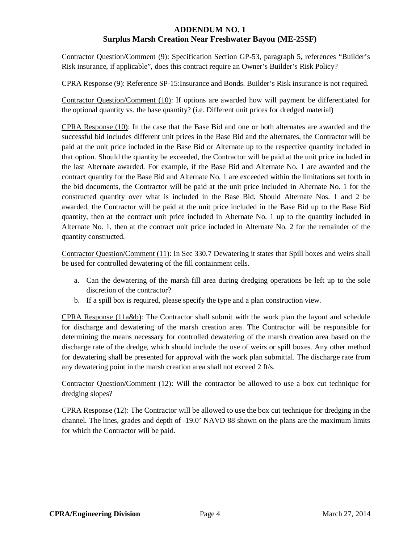Contractor Question/Comment (9): Specification Section GP-53, paragraph 5, references "Builder's Risk insurance, if applicable", does this contract require an Owner's Builder's Risk Policy?

CPRA Response (9): Reference SP-15:Insurance and Bonds. Builder's Risk insurance is not required.

Contractor Question/Comment (10): If options are awarded how will payment be differentiated for the optional quantity vs. the base quantity? (i.e. Different unit prices for dredged material)

CPRA Response (10): In the case that the Base Bid and one or both alternates are awarded and the successful bid includes different unit prices in the Base Bid and the alternates, the Contractor will be paid at the unit price included in the Base Bid or Alternate up to the respective quantity included in that option. Should the quantity be exceeded, the Contractor will be paid at the unit price included in the last Alternate awarded. For example, if the Base Bid and Alternate No. 1 are awarded and the contract quantity for the Base Bid and Alternate No. 1 are exceeded within the limitations set forth in the bid documents, the Contractor will be paid at the unit price included in Alternate No. 1 for the constructed quantity over what is included in the Base Bid. Should Alternate Nos. 1 and 2 be awarded, the Contractor will be paid at the unit price included in the Base Bid up to the Base Bid quantity, then at the contract unit price included in Alternate No. 1 up to the quantity included in Alternate No. 1, then at the contract unit price included in Alternate No. 2 for the remainder of the quantity constructed.

Contractor Question/Comment (11): In Sec 330.7 Dewatering it states that Spill boxes and weirs shall be used for controlled dewatering of the fill containment cells.

- a. Can the dewatering of the marsh fill area during dredging operations be left up to the sole discretion of the contractor?
- b. If a spill box is required, please specify the type and a plan construction view.

CPRA Response (11a&b): The Contractor shall submit with the work plan the layout and schedule for discharge and dewatering of the marsh creation area. The Contractor will be responsible for determining the means necessary for controlled dewatering of the marsh creation area based on the discharge rate of the dredge, which should include the use of weirs or spill boxes. Any other method for dewatering shall be presented for approval with the work plan submittal. The discharge rate from any dewatering point in the marsh creation area shall not exceed 2 ft/s.

Contractor Question/Comment (12): Will the contractor be allowed to use a box cut technique for dredging slopes?

 $CPRA$  Response  $(12)$ : The Contractor will be allowed to use the box cut technique for dredging in the channel. The lines, grades and depth of -19.0' NAVD 88 shown on the plans are the maximum limits for which the Contractor will be paid.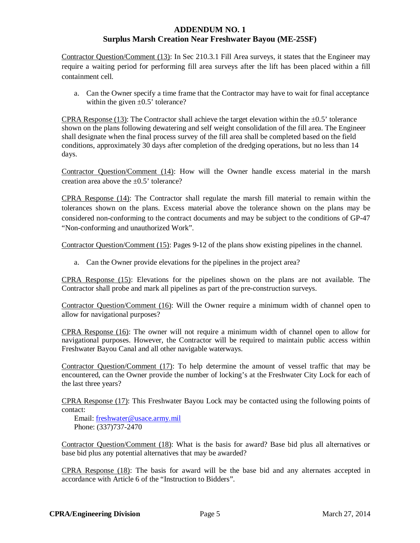Contractor Question/Comment (13): In Sec 210.3.1 Fill Area surveys, it states that the Engineer may require a waiting period for performing fill area surveys after the lift has been placed within a fill containment cell.

a. Can the Owner specify a time frame that the Contractor may have to wait for final acceptance within the given  $\pm 0.5$ ' tolerance?

CPRA Response (13): The Contractor shall achieve the target elevation within the  $\pm 0.5$ ' tolerance shown on the plans following dewatering and self weight consolidation of the fill area. The Engineer shall designate when the final process survey of the fill area shall be completed based on the field conditions, approximately 30 days after completion of the dredging operations, but no less than 14 days.

Contractor Question/Comment (14): How will the Owner handle excess material in the marsh creation area above the  $\pm 0.5$ ' tolerance?

CPRA Response (14): The Contractor shall regulate the marsh fill material to remain within the tolerances shown on the plans. Excess material above the tolerance shown on the plans may be considered non-conforming to the contract documents and may be subject to the conditions of GP-47 "Non-conforming and unauthorized Work".

Contractor Question/Comment (15): Pages 9-12 of the plans show existing pipelines in the channel.

a. Can the Owner provide elevations for the pipelines in the project area?

CPRA Response (15): Elevations for the pipelines shown on the plans are not available. The Contractor shall probe and mark all pipelines as part of the pre-construction surveys.

Contractor Question/Comment (16): Will the Owner require a minimum width of channel open to allow for navigational purposes?

CPRA Response (16): The owner will not require a minimum width of channel open to allow for navigational purposes. However, the Contractor will be required to maintain public access within Freshwater Bayou Canal and all other navigable waterways.

Contractor Question/Comment (17): To help determine the amount of vessel traffic that may be encountered, can the Owner provide the number of locking's at the Freshwater City Lock for each of the last three years?

CPRA Response (17): This Freshwater Bayou Lock may be contacted using the following points of contact:

 Email: freshwater@usace.army.mil Phone: (337)737-2470

Contractor Question/Comment (18): What is the basis for award? Base bid plus all alternatives or base bid plus any potential alternatives that may be awarded?

CPRA Response (18): The basis for award will be the base bid and any alternates accepted in accordance with Article 6 of the "Instruction to Bidders".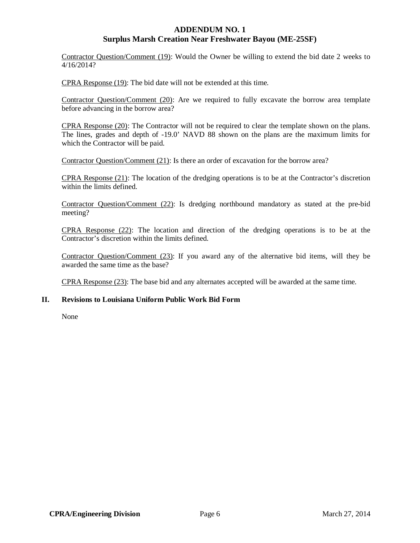Contractor Question/Comment (19): Would the Owner be willing to extend the bid date 2 weeks to 4/16/2014?

CPRA Response (19): The bid date will not be extended at this time.

Contractor Question/Comment (20): Are we required to fully excavate the borrow area template before advancing in the borrow area?

CPRA Response (20): The Contractor will not be required to clear the template shown on the plans. The lines, grades and depth of -19.0' NAVD 88 shown on the plans are the maximum limits for which the Contractor will be paid.

Contractor Question/Comment (21): Is there an order of excavation for the borrow area?

CPRA Response (21): The location of the dredging operations is to be at the Contractor's discretion within the limits defined.

Contractor Question/Comment (22): Is dredging northbound mandatory as stated at the pre-bid meeting?

CPRA Response (22): The location and direction of the dredging operations is to be at the Contractor's discretion within the limits defined.

Contractor Question/Comment (23): If you award any of the alternative bid items, will they be awarded the same time as the base?

CPRA Response (23): The base bid and any alternates accepted will be awarded at the same time.

#### **II. Revisions to Louisiana Uniform Public Work Bid Form**

None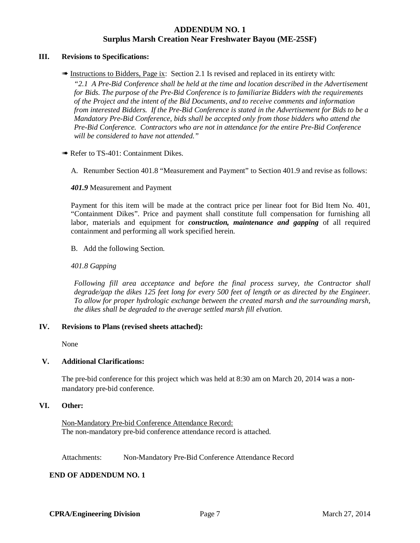#### **III. Revisions to Specifications:**

**EXECUTE:** Instructions to Bidders, Page ix: Section 2.1 Is revised and replaced in its entirety with:

*"2.1 A Pre-Bid Conference shall be held at the time and location described in the Advertisement for Bids. The purpose of the Pre-Bid Conference is to familiarize Bidders with the requirements of the Project and the intent of the Bid Documents, and to receive comments and information from interested Bidders. If the Pre-Bid Conference is stated in the Advertisement for Bids to be a Mandatory Pre-Bid Conference, bids shall be accepted only from those bidders who attend the Pre-Bid Conference. Contractors who are not in attendance for the entire Pre-Bid Conference will be considered to have not attended."*

• Refer to TS-401: Containment Dikes.

A. Renumber Section 401.8 "Measurement and Payment" to Section 401.9 and revise as follows:

*401.9* Measurement and Payment

Payment for this item will be made at the contract price per linear foot for Bid Item No. 401, "Containment Dikes". Price and payment shall constitute full compensation for furnishing all labor, materials and equipment for *construction, maintenance and gapping* of all required containment and performing all work specified herein.

B. Add the following Section.

#### *401.8 Gapping*

*Following fill area acceptance and before the final process survey, the Contractor shall degrade/gap the dikes 125 feet long for every 500 feet of length or as directed by the Engineer. To allow for proper hydrologic exchange between the created marsh and the surrounding marsh, the dikes shall be degraded to the average settled marsh fill elvation.* 

#### **IV. Revisions to Plans (revised sheets attached):**

None

#### **V. Additional Clarifications:**

The pre-bid conference for this project which was held at 8:30 am on March 20, 2014 was a nonmandatory pre-bid conference.

#### **VI. Other:**

Non-Mandatory Pre-bid Conference Attendance Record: The non-mandatory pre-bid conference attendance record is attached.

Attachments: Non-Mandatory Pre-Bid Conference Attendance Record

#### **END OF ADDENDUM NO. 1**